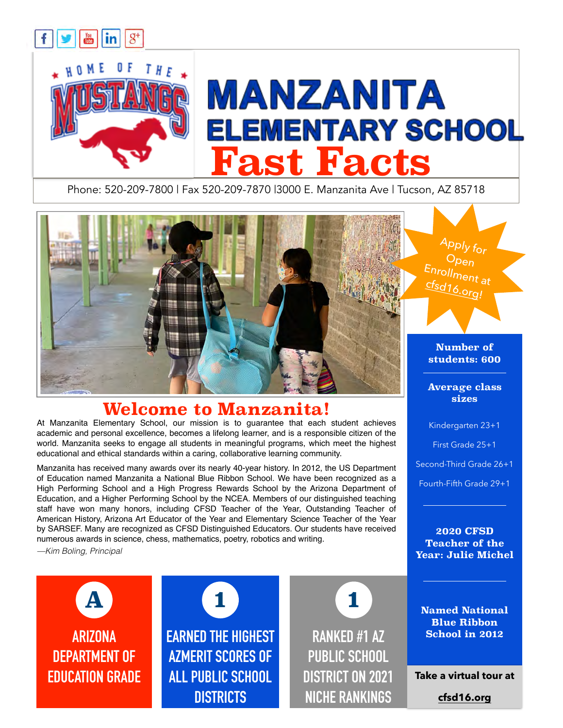

Phone: 520-209-7800 | Fax 520-209-7870 |3000 E. Manzanita Ave | Tucson, AZ 85718



## **Welcome to Manzanita!**

At Manzanita Elementary School, our mission is to guarantee that each student achieves academic and personal excellence, becomes a lifelong learner, and is a responsible citizen of the world. Manzanita seeks to engage all students in meaningful programs, which meet the highest educational and ethical standards within a caring, collaborative learning community.

Manzanita has received many awards over its nearly 40-year history. In 2012, the US Department of Education named Manzanita a National Blue Ribbon School. We have been recognized as a High Performing School and a High Progress Rewards School by the Arizona Department of Education, and a Higher Performing School by the NCEA. Members of our distinguished teaching staff have won many honors, including CFSD Teacher of the Year, Outstanding Teacher of American History, Arizona Art Educator of the Year and Elementary Science Teacher of the Year by SARSEF. Many are recognized as CFSD Distinguished Educators. Our students have received numerous awards in science, chess, mathematics, poetry, robotics and writing.

*—Kim Boling, Principal*



**EARNED THE HIGHEST AZMERIT SCORES OF ALL PUBLIC SCHOOL DISTRICTS**

**1 1**

**RANKED #1 AZ PUBLIC SCHOOL DISTRICT ON 2021 NICHE RANKINGS** **sizes** 

Kindergarten 23+1

First Grade 25+1

Second-Third Grade 26+1

Fourth-Fifth Grade 29+1

**2020 CFSD Teacher of the Year: Julie Michel**

**Named National Blue Ribbon School in 2012**

**Take a virtual tour at** 

**[cfsd16.org](http://cfsd16.org)**